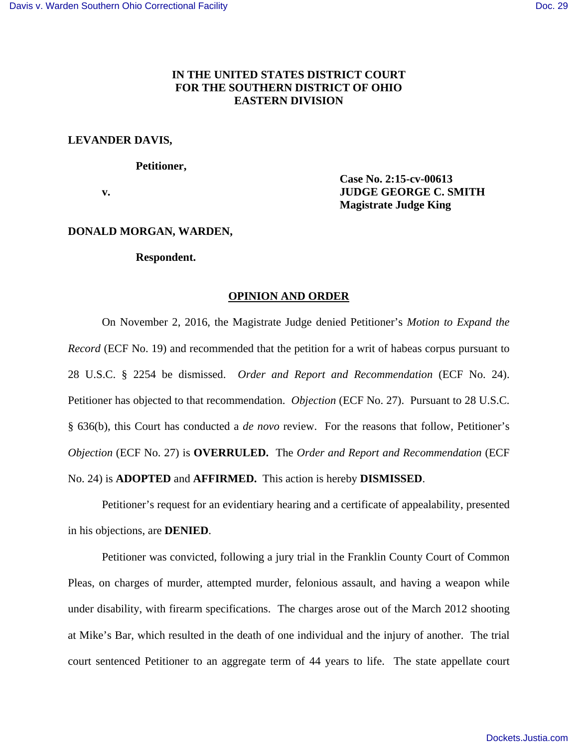# **IN THE UNITED STATES DISTRICT COURT FOR THE SOUTHERN DISTRICT OF OHIO EASTERN DIVISION**

## **LEVANDER DAVIS,**

### **Petitioner,**

 **Case No. 2:15-cv-00613 v. IUDGE GEORGE C. SMITH Magistrate Judge King** 

### **DONALD MORGAN, WARDEN,**

### **Respondent.**

### **OPINION AND ORDER**

 On November 2, 2016, the Magistrate Judge denied Petitioner's *Motion to Expand the Record* (ECF No. 19) and recommended that the petition for a writ of habeas corpus pursuant to 28 U.S.C. § 2254 be dismissed. *Order and Report and Recommendation* (ECF No. 24). Petitioner has objected to that recommendation. *Objection* (ECF No. 27). Pursuant to 28 U.S.C. § 636(b), this Court has conducted a *de novo* review. For the reasons that follow, Petitioner's *Objection* (ECF No. 27) is **OVERRULED.** The *Order and Report and Recommendation* (ECF No. 24) is **ADOPTED** and **AFFIRMED.** This action is hereby **DISMISSED**.

 Petitioner's request for an evidentiary hearing and a certificate of appealability, presented in his objections, are **DENIED**.

 Petitioner was convicted, following a jury trial in the Franklin County Court of Common Pleas, on charges of murder, attempted murder, felonious assault, and having a weapon while under disability, with firearm specifications. The charges arose out of the March 2012 shooting at Mike's Bar, which resulted in the death of one individual and the injury of another. The trial court sentenced Petitioner to an aggregate term of 44 years to life. The state appellate court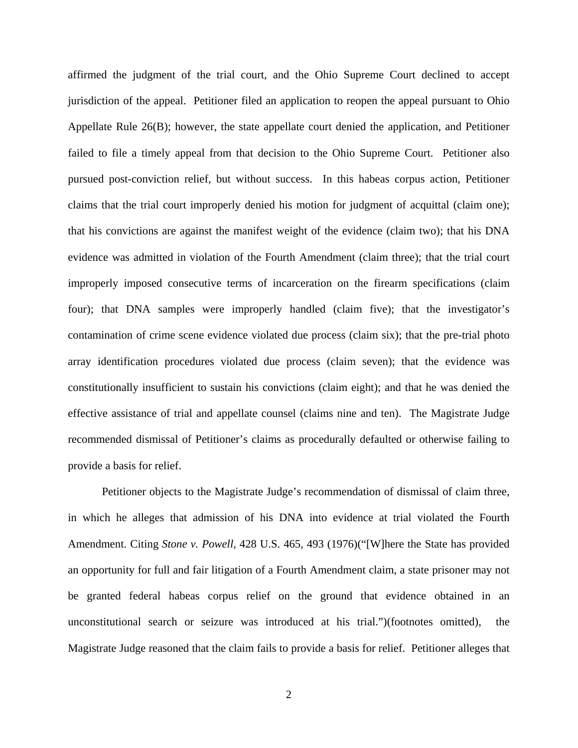affirmed the judgment of the trial court, and the Ohio Supreme Court declined to accept jurisdiction of the appeal. Petitioner filed an application to reopen the appeal pursuant to Ohio Appellate Rule 26(B); however, the state appellate court denied the application, and Petitioner failed to file a timely appeal from that decision to the Ohio Supreme Court. Petitioner also pursued post-conviction relief, but without success. In this habeas corpus action, Petitioner claims that the trial court improperly denied his motion for judgment of acquittal (claim one); that his convictions are against the manifest weight of the evidence (claim two); that his DNA evidence was admitted in violation of the Fourth Amendment (claim three); that the trial court improperly imposed consecutive terms of incarceration on the firearm specifications (claim four); that DNA samples were improperly handled (claim five); that the investigator's contamination of crime scene evidence violated due process (claim six); that the pre-trial photo array identification procedures violated due process (claim seven); that the evidence was constitutionally insufficient to sustain his convictions (claim eight); and that he was denied the effective assistance of trial and appellate counsel (claims nine and ten). The Magistrate Judge recommended dismissal of Petitioner's claims as procedurally defaulted or otherwise failing to provide a basis for relief.

 Petitioner objects to the Magistrate Judge's recommendation of dismissal of claim three, in which he alleges that admission of his DNA into evidence at trial violated the Fourth Amendment. Citing *Stone v. Powell*, 428 U.S. 465, 493 (1976)("[W]here the State has provided an opportunity for full and fair litigation of a Fourth Amendment claim, a state prisoner may not be granted federal habeas corpus relief on the ground that evidence obtained in an unconstitutional search or seizure was introduced at his trial.")(footnotes omitted), the Magistrate Judge reasoned that the claim fails to provide a basis for relief. Petitioner alleges that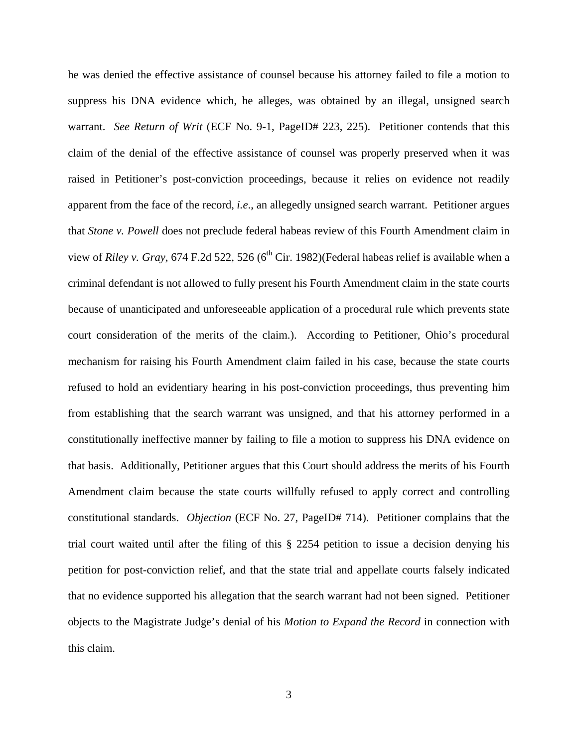he was denied the effective assistance of counsel because his attorney failed to file a motion to suppress his DNA evidence which, he alleges, was obtained by an illegal, unsigned search warrant. *See Return of Writ* (ECF No. 9-1, PageID# 223, 225). Petitioner contends that this claim of the denial of the effective assistance of counsel was properly preserved when it was raised in Petitioner's post-conviction proceedings, because it relies on evidence not readily apparent from the face of the record, *i.e*., an allegedly unsigned search warrant. Petitioner argues that *Stone v. Powell* does not preclude federal habeas review of this Fourth Amendment claim in view of *Riley v. Gray*, 674 F.2d 522, 526 (6<sup>th</sup> Cir. 1982)(Federal habeas relief is available when a criminal defendant is not allowed to fully present his Fourth Amendment claim in the state courts because of unanticipated and unforeseeable application of a procedural rule which prevents state court consideration of the merits of the claim.). According to Petitioner, Ohio's procedural mechanism for raising his Fourth Amendment claim failed in his case, because the state courts refused to hold an evidentiary hearing in his post-conviction proceedings, thus preventing him from establishing that the search warrant was unsigned, and that his attorney performed in a constitutionally ineffective manner by failing to file a motion to suppress his DNA evidence on that basis. Additionally, Petitioner argues that this Court should address the merits of his Fourth Amendment claim because the state courts willfully refused to apply correct and controlling constitutional standards. *Objection* (ECF No. 27, PageID# 714). Petitioner complains that the trial court waited until after the filing of this § 2254 petition to issue a decision denying his petition for post-conviction relief, and that the state trial and appellate courts falsely indicated that no evidence supported his allegation that the search warrant had not been signed. Petitioner objects to the Magistrate Judge's denial of his *Motion to Expand the Record* in connection with this claim.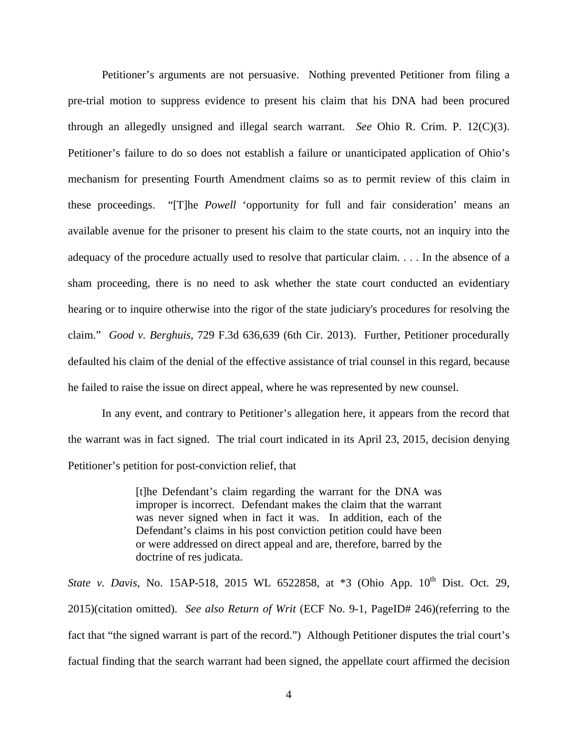Petitioner's arguments are not persuasive. Nothing prevented Petitioner from filing a pre-trial motion to suppress evidence to present his claim that his DNA had been procured through an allegedly unsigned and illegal search warrant. *See* Ohio R. Crim. P. 12(C)(3). Petitioner's failure to do so does not establish a failure or unanticipated application of Ohio's mechanism for presenting Fourth Amendment claims so as to permit review of this claim in these proceedings. "[T]he *Powell* 'opportunity for full and fair consideration' means an available avenue for the prisoner to present his claim to the state courts, not an inquiry into the adequacy of the procedure actually used to resolve that particular claim. . . . In the absence of a sham proceeding, there is no need to ask whether the state court conducted an evidentiary hearing or to inquire otherwise into the rigor of the state judiciary's procedures for resolving the claim." *Good v. Berghuis*, 729 F.3d 636,639 (6th Cir. 2013). Further, Petitioner procedurally defaulted his claim of the denial of the effective assistance of trial counsel in this regard, because he failed to raise the issue on direct appeal, where he was represented by new counsel.

In any event, and contrary to Petitioner's allegation here, it appears from the record that the warrant was in fact signed. The trial court indicated in its April 23, 2015, decision denying Petitioner's petition for post-conviction relief, that

> [t]he Defendant's claim regarding the warrant for the DNA was improper is incorrect. Defendant makes the claim that the warrant was never signed when in fact it was. In addition, each of the Defendant's claims in his post conviction petition could have been or were addressed on direct appeal and are, therefore, barred by the doctrine of res judicata.

*State v. Davis*, No. 15AP-518, 2015 WL 6522858, at \*3 (Ohio App. 10<sup>th</sup> Dist. Oct. 29, 2015)(citation omitted). *See also Return of Writ* (ECF No. 9-1, PageID# 246)(referring to the fact that "the signed warrant is part of the record.") Although Petitioner disputes the trial court's factual finding that the search warrant had been signed, the appellate court affirmed the decision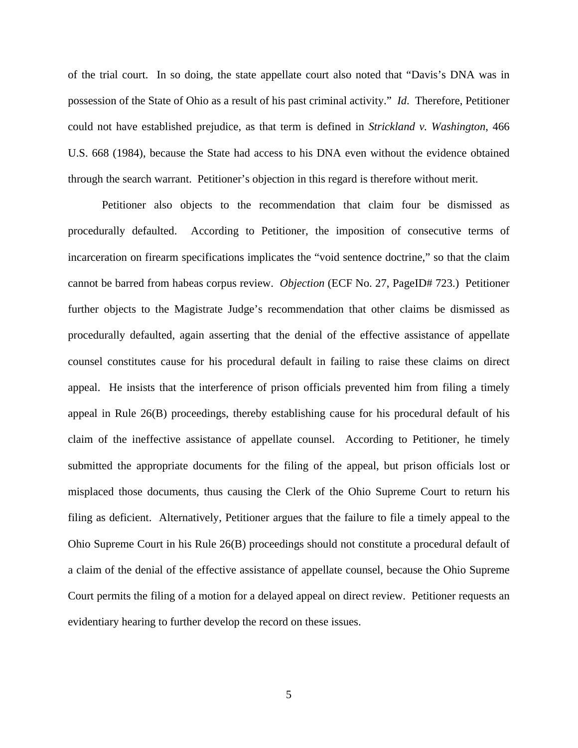of the trial court. In so doing, the state appellate court also noted that "Davis's DNA was in possession of the State of Ohio as a result of his past criminal activity." *Id*. Therefore, Petitioner could not have established prejudice, as that term is defined in *Strickland v. Washington*, 466 U.S. 668 (1984), because the State had access to his DNA even without the evidence obtained through the search warrant. Petitioner's objection in this regard is therefore without merit.

 Petitioner also objects to the recommendation that claim four be dismissed as procedurally defaulted. According to Petitioner, the imposition of consecutive terms of incarceration on firearm specifications implicates the "void sentence doctrine," so that the claim cannot be barred from habeas corpus review. *Objection* (ECF No. 27, PageID# 723.) Petitioner further objects to the Magistrate Judge's recommendation that other claims be dismissed as procedurally defaulted, again asserting that the denial of the effective assistance of appellate counsel constitutes cause for his procedural default in failing to raise these claims on direct appeal. He insists that the interference of prison officials prevented him from filing a timely appeal in Rule 26(B) proceedings, thereby establishing cause for his procedural default of his claim of the ineffective assistance of appellate counsel. According to Petitioner, he timely submitted the appropriate documents for the filing of the appeal, but prison officials lost or misplaced those documents, thus causing the Clerk of the Ohio Supreme Court to return his filing as deficient. Alternatively, Petitioner argues that the failure to file a timely appeal to the Ohio Supreme Court in his Rule 26(B) proceedings should not constitute a procedural default of a claim of the denial of the effective assistance of appellate counsel, because the Ohio Supreme Court permits the filing of a motion for a delayed appeal on direct review. Petitioner requests an evidentiary hearing to further develop the record on these issues.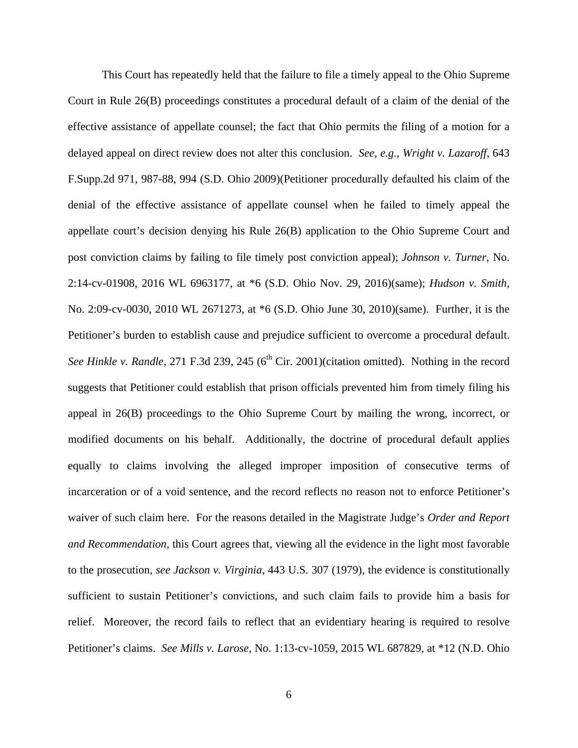This Court has repeatedly held that the failure to file a timely appeal to the Ohio Supreme Court in Rule 26(B) proceedings constitutes a procedural default of a claim of the denial of the effective assistance of appellate counsel; the fact that Ohio permits the filing of a motion for a delayed appeal on direct review does not alter this conclusion. *See, e.g*., *Wright v. Lazaroff*, 643 F.Supp.2d 971, 987-88, 994 (S.D. Ohio 2009)(Petitioner procedurally defaulted his claim of the denial of the effective assistance of appellate counsel when he failed to timely appeal the appellate court's decision denying his Rule 26(B) application to the Ohio Supreme Court and post conviction claims by failing to file timely post conviction appeal); *Johnson v. Turner*, No. 2:14-cv-01908, 2016 WL 6963177, at \*6 (S.D. Ohio Nov. 29, 2016)(same); *Hudson v. Smith*, No. 2:09-cv-0030, 2010 WL 2671273, at \*6 (S.D. Ohio June 30, 2010)(same). Further, it is the Petitioner's burden to establish cause and prejudice sufficient to overcome a procedural default. *See Hinkle v. Randle*, 271 F.3d 239, 245 (6<sup>th</sup> Cir. 2001)(citation omitted). Nothing in the record suggests that Petitioner could establish that prison officials prevented him from timely filing his appeal in 26(B) proceedings to the Ohio Supreme Court by mailing the wrong, incorrect, or modified documents on his behalf. Additionally, the doctrine of procedural default applies equally to claims involving the alleged improper imposition of consecutive terms of incarceration or of a void sentence, and the record reflects no reason not to enforce Petitioner's waiver of such claim here. For the reasons detailed in the Magistrate Judge's *Order and Report and Recommendation*, this Court agrees that, viewing all the evidence in the light most favorable to the prosecution, *see Jackson v. Virginia,* 443 U.S. 307 (1979), the evidence is constitutionally sufficient to sustain Petitioner's convictions, and such claim fails to provide him a basis for relief. Moreover, the record fails to reflect that an evidentiary hearing is required to resolve Petitioner's claims. *See Mills v. Larose*, No. 1:13-cv-1059, 2015 WL 687829, at \*12 (N.D. Ohio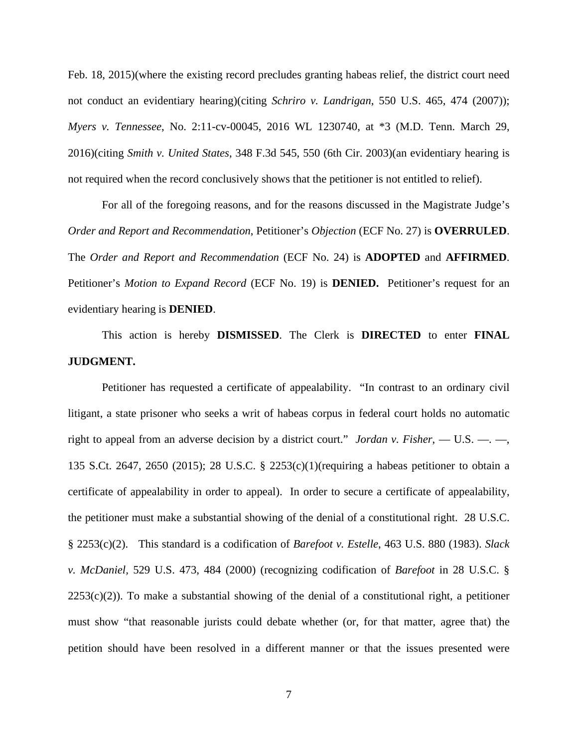Feb. 18, 2015)(where the existing record precludes granting habeas relief, the district court need not conduct an evidentiary hearing)(citing *Schriro v. Landrigan*, 550 U.S. 465, 474 (2007)); *Myers v. Tennessee*, No. 2:11-cv-00045, 2016 WL 1230740, at \*3 (M.D. Tenn. March 29, 2016)(citing *Smith v. United States*, 348 F.3d 545, 550 (6th Cir. 2003)(an evidentiary hearing is not required when the record conclusively shows that the petitioner is not entitled to relief).

 For all of the foregoing reasons, and for the reasons discussed in the Magistrate Judge's *Order and Report and Recommendation*, Petitioner's *Objection* (ECF No. 27) is **OVERRULED**. The *Order and Report and Recommendation* (ECF No. 24) is **ADOPTED** and **AFFIRMED**. Petitioner's *Motion to Expand Record* (ECF No. 19) is **DENIED.** Petitioner's request for an evidentiary hearing is **DENIED**.

This action is hereby **DISMISSED**. The Clerk is **DIRECTED** to enter **FINAL JUDGMENT.**

Petitioner has requested a certificate of appealability. "In contrast to an ordinary civil litigant, a state prisoner who seeks a writ of habeas corpus in federal court holds no automatic right to appeal from an adverse decision by a district court." *Jordan v. Fisher*, — U.S. —. —, 135 S.Ct. 2647, 2650 (2015); 28 U.S.C. § 2253(c)(1)(requiring a habeas petitioner to obtain a certificate of appealability in order to appeal). In order to secure a certificate of appealability, the petitioner must make a substantial showing of the denial of a constitutional right. 28 U.S.C. § 2253(c)(2). This standard is a codification of *Barefoot v. Estelle*, 463 U.S. 880 (1983). *Slack v. McDaniel,* 529 U.S. 473, 484 (2000) (recognizing codification of *Barefoot* in 28 U.S.C. §  $2253(c)(2)$ ). To make a substantial showing of the denial of a constitutional right, a petitioner must show "that reasonable jurists could debate whether (or, for that matter, agree that) the petition should have been resolved in a different manner or that the issues presented were